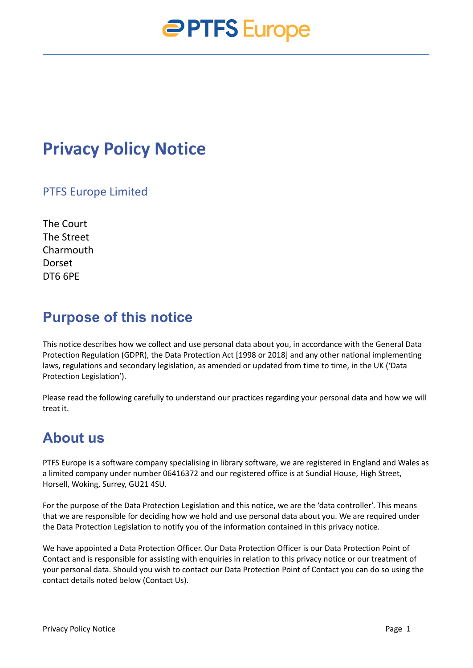## **Privacy Policy Notice**

#### PTFS Europe Limited

The Court The Street Charmouth **Dorset** DT6 6PE

### **Purpose of this notice**

This notice describes how we collect and use personal data about you, in accordance with the General Data Protection Regulation (GDPR), the Data Protection Act [1998 or 2018] and any other national implementing laws, regulations and secondary legislation, as amended or updated from time to time, in the UK ('Data Protection Legislation').

Please read the following carefully to understand our practices regarding your personal data and how we will treat it.

### **About us**

PTFS Europe is a software company specialising in library software, we are registered in England and Wales as a limited company under number 06416372 and our registered office is at Sundial House, High Street, Horsell, Woking, Surrey, GU21 4SU.

For the purpose of the Data Protection Legislation and this notice, we are the 'data controller'. This means that we are responsible for deciding how we hold and use personal data about you. We are required under the Data Protection Legislation to notify you of the information contained in this privacy notice.

We have appointed a Data Protection Officer. Our Data Protection Officer is our Data Protection Point of Contact and is responsible for assisting with enquiries in relation to this privacy notice or our treatment of your personal data. Should you wish to contact our Data Protection Point of Contact you can do so using the contact details noted below (Contact Us).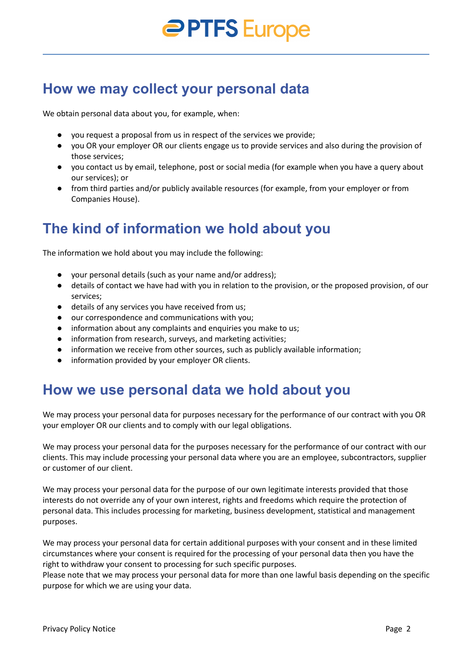### **How we may collect your personal data**

We obtain personal data about you, for example, when:

- you request a proposal from us in respect of the services we provide;
- you OR your employer OR our clients engage us to provide services and also during the provision of those services;
- you contact us by email, telephone, post or social media (for example when you have a query about our services); or
- from third parties and/or publicly available resources (for example, from your employer or from Companies House).

## **The kind of information we hold about you**

The information we hold about you may include the following:

- your personal details (such as your name and/or address);
- details of contact we have had with you in relation to the provision, or the proposed provision, of our services;
- details of any services you have received from us;
- our correspondence and communications with you;
- information about any complaints and enquiries you make to us;
- information from research, surveys, and marketing activities;
- information we receive from other sources, such as publicly available information;
- information provided by your employer OR clients.

### **How we use personal data we hold about you**

We may process your personal data for purposes necessary for the performance of our contract with you OR your employer OR our clients and to comply with our legal obligations.

We may process your personal data for the purposes necessary for the performance of our contract with our clients. This may include processing your personal data where you are an employee, subcontractors, supplier or customer of our client.

We may process your personal data for the purpose of our own legitimate interests provided that those interests do not override any of your own interest, rights and freedoms which require the protection of personal data. This includes processing for marketing, business development, statistical and management purposes.

We may process your personal data for certain additional purposes with your consent and in these limited circumstances where your consent is required for the processing of your personal data then you have the right to withdraw your consent to processing for such specific purposes.

Please note that we may process your personal data for more than one lawful basis depending on the specific purpose for which we are using your data.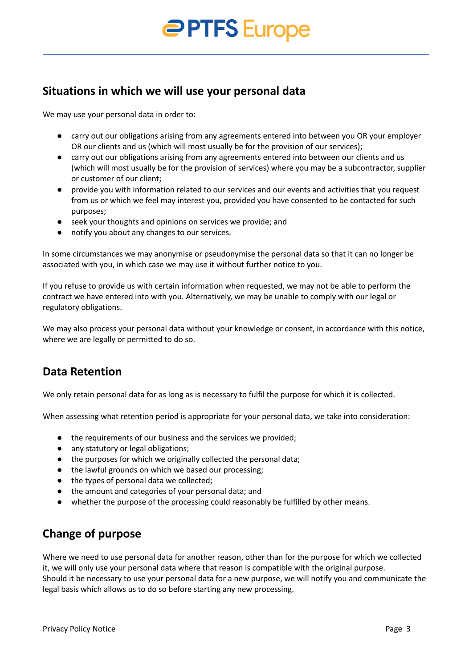#### **Situations in which we will use your personal data**

We may use your personal data in order to:

- carry out our obligations arising from any agreements entered into between you OR your employer OR our clients and us (which will most usually be for the provision of our services);
- carry out our obligations arising from any agreements entered into between our clients and us (which will most usually be for the provision of services) where you may be a subcontractor, supplier or customer of our client;
- provide you with information related to our services and our events and activities that you request from us or which we feel may interest you, provided you have consented to be contacted for such purposes;
- seek your thoughts and opinions on services we provide; and
- notify you about any changes to our services.

In some circumstances we may anonymise or pseudonymise the personal data so that it can no longer be associated with you, in which case we may use it without further notice to you.

If you refuse to provide us with certain information when requested, we may not be able to perform the contract we have entered into with you. Alternatively, we may be unable to comply with our legal or regulatory obligations.

We may also process your personal data without your knowledge or consent, in accordance with this notice, where we are legally or permitted to do so.

#### **Data Retention**

We only retain personal data for as long as is necessary to fulfil the purpose for which it is collected.

When assessing what retention period is appropriate for your personal data, we take into consideration:

- the requirements of our business and the services we provided;
- any statutory or legal obligations;
- the purposes for which we originally collected the personal data;
- the lawful grounds on which we based our processing;
- the types of personal data we collected;
- the amount and categories of your personal data; and
- whether the purpose of the processing could reasonably be fulfilled by other means.

#### **Change of purpose**

Where we need to use personal data for another reason, other than for the purpose for which we collected it, we will only use your personal data where that reason is compatible with the original purpose. Should it be necessary to use your personal data for a new purpose, we will notify you and communicate the legal basis which allows us to do so before starting any new processing.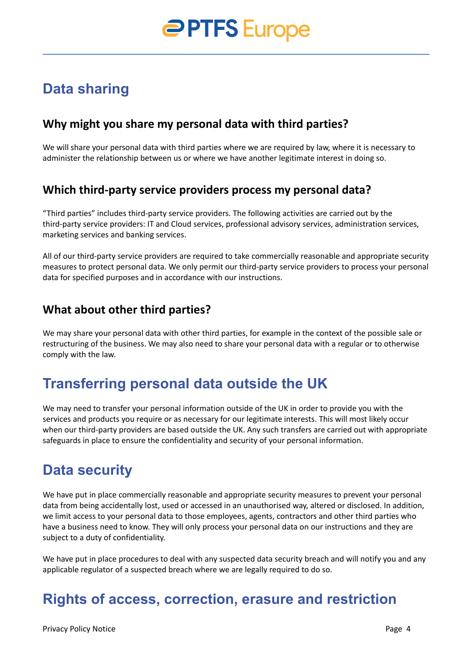## **Data sharing**

#### **Why might you share my personal data with third parties?**

We will share your personal data with third parties where we are required by law, where it is necessary to administer the relationship between us or where we have another legitimate interest in doing so.

#### **Which third-party service providers process my personal data?**

"Third parties" includes third-party service providers. The following activities are carried out by the third-party service providers: IT and Cloud services, professional advisory services, administration services, marketing services and banking services.

All of our third-party service providers are required to take commercially reasonable and appropriate security measures to protect personal data. We only permit our third-party service providers to process your personal data for specified purposes and in accordance with our instructions.

#### **What about other third parties?**

We may share your personal data with other third parties, for example in the context of the possible sale or restructuring of the business. We may also need to share your personal data with a regular or to otherwise comply with the law.

## **Transferring personal data outside the UK**

We may need to transfer your personal information outside of the UK in order to provide you with the services and products you require or as necessary for our legitimate interests. This will most likely occur when our third-party providers are based outside the UK. Any such transfers are carried out with appropriate safeguards in place to ensure the confidentiality and security of your personal information.

## **Data security**

We have put in place commercially reasonable and appropriate security measures to prevent your personal data from being accidentally lost, used or accessed in an unauthorised way, altered or disclosed. In addition, we limit access to your personal data to those employees, agents, contractors and other third parties who have a business need to know. They will only process your personal data on our instructions and they are subject to a duty of confidentiality.

We have put in place procedures to deal with any suspected data security breach and will notify you and any applicable regulator of a suspected breach where we are legally required to do so.

## **Rights of access, correction, erasure and restriction**

Privacy Policy Notice **Page 4** Page 4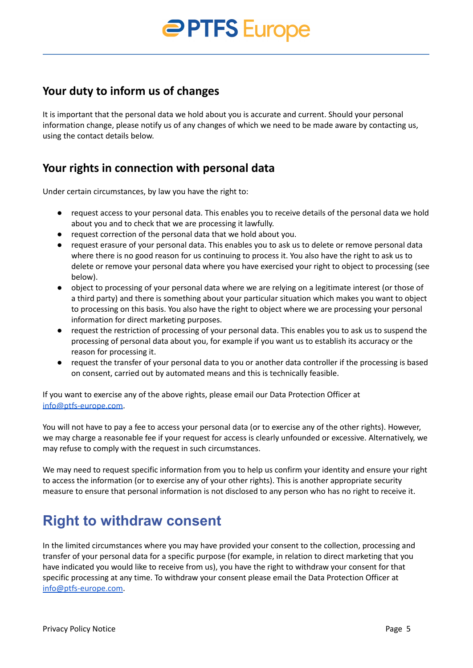#### **Your duty to inform us of changes**

It is important that the personal data we hold about you is accurate and current. Should your personal information change, please notify us of any changes of which we need to be made aware by contacting us, using the contact details below.

#### **Your rights in connection with personal data**

Under certain circumstances, by law you have the right to:

- request access to your personal data. This enables you to receive details of the personal data we hold about you and to check that we are processing it lawfully.
- request correction of the personal data that we hold about you.
- request erasure of your personal data. This enables you to ask us to delete or remove personal data where there is no good reason for us continuing to process it. You also have the right to ask us to delete or remove your personal data where you have exercised your right to object to processing (see below).
- object to processing of your personal data where we are relying on a legitimate interest (or those of a third party) and there is something about your particular situation which makes you want to object to processing on this basis. You also have the right to object where we are processing your personal information for direct marketing purposes.
- request the restriction of processing of your personal data. This enables you to ask us to suspend the processing of personal data about you, for example if you want us to establish its accuracy or the reason for processing it.
- request the transfer of your personal data to you or another data controller if the processing is based on consent, carried out by automated means and this is technically feasible.

If you want to exercise any of the above rights, please email our Data Protection Officer at [info@ptfs-europe.com.](mailto:info@ptfs-europe.com)

You will not have to pay a fee to access your personal data (or to exercise any of the other rights). However, we may charge a reasonable fee if your request for access is clearly unfounded or excessive. Alternatively, we may refuse to comply with the request in such circumstances.

We may need to request specific information from you to help us confirm your identity and ensure your right to access the information (or to exercise any of your other rights). This is another appropriate security measure to ensure that personal information is not disclosed to any person who has no right to receive it.

## **Right to withdraw consent**

In the limited circumstances where you may have provided your consent to the collection, processing and transfer of your personal data for a specific purpose (for example, in relation to direct marketing that you have indicated you would like to receive from us), you have the right to withdraw your consent for that specific processing at any time. To withdraw your consent please email the Data Protection Officer at [info@ptfs-europe.com.](mailto:info@ptfs-europe.com)